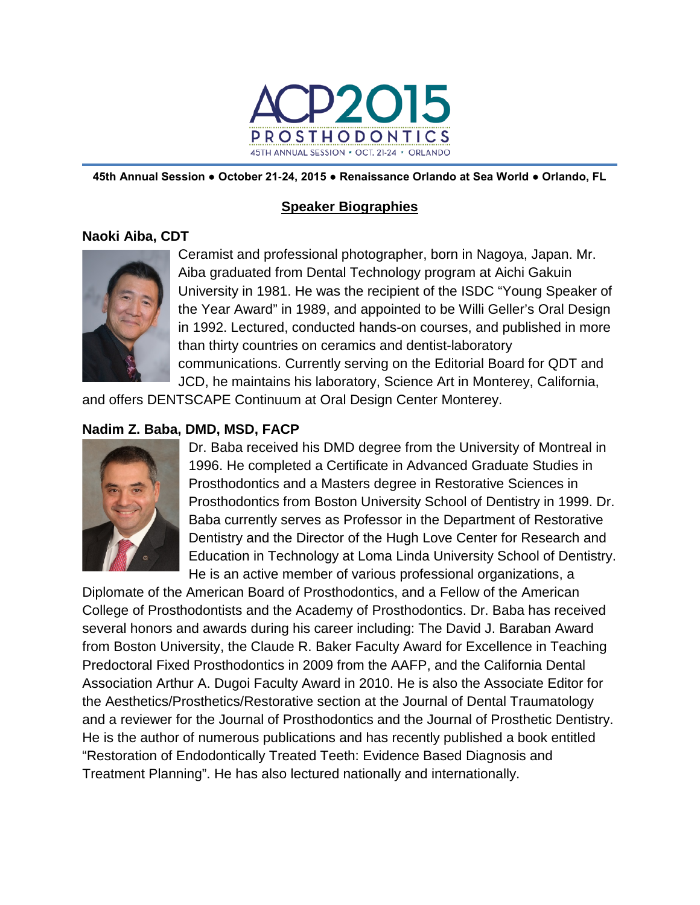

**45th Annual Session ● October 21-24, 2015 ● Renaissance Orlando at Sea World ● Orlando, FL**

# **Speaker Biographies**

## **Naoki Aiba, CDT**



Ceramist and professional photographer, born in Nagoya, Japan. Mr. Aiba graduated from Dental Technology program at Aichi Gakuin University in 1981. He was the recipient of the ISDC "Young Speaker of the Year Award" in 1989, and appointed to be Willi Geller's Oral Design in 1992. Lectured, conducted hands-on courses, and published in more than thirty countries on ceramics and dentist-laboratory communications. Currently serving on the Editorial Board for QDT and JCD, he maintains his laboratory, Science Art in Monterey, California,

and offers DENTSCAPE Continuum at Oral Design Center Monterey.

# **Nadim Z. Baba, DMD, MSD, FACP**



Dr. Baba received his DMD degree from the University of Montreal in 1996. He completed a Certificate in Advanced Graduate Studies in Prosthodontics and a Masters degree in Restorative Sciences in Prosthodontics from Boston University School of Dentistry in 1999. Dr. Baba currently serves as Professor in the Department of Restorative Dentistry and the Director of the Hugh Love Center for Research and Education in Technology at Loma Linda University School of Dentistry. He is an active member of various professional organizations, a

Diplomate of the American Board of Prosthodontics, and a Fellow of the American College of Prosthodontists and the Academy of Prosthodontics. Dr. Baba has received several honors and awards during his career including: The David J. Baraban Award from Boston University, the Claude R. Baker Faculty Award for Excellence in Teaching Predoctoral Fixed Prosthodontics in 2009 from the AAFP, and the California Dental Association Arthur A. Dugoi Faculty Award in 2010. He is also the Associate Editor for the Aesthetics/Prosthetics/Restorative section at the Journal of Dental Traumatology and a reviewer for the Journal of Prosthodontics and the Journal of Prosthetic Dentistry. He is the author of numerous publications and has recently published a book entitled "Restoration of Endodontically Treated Teeth: Evidence Based Diagnosis and Treatment Planning". He has also lectured nationally and internationally.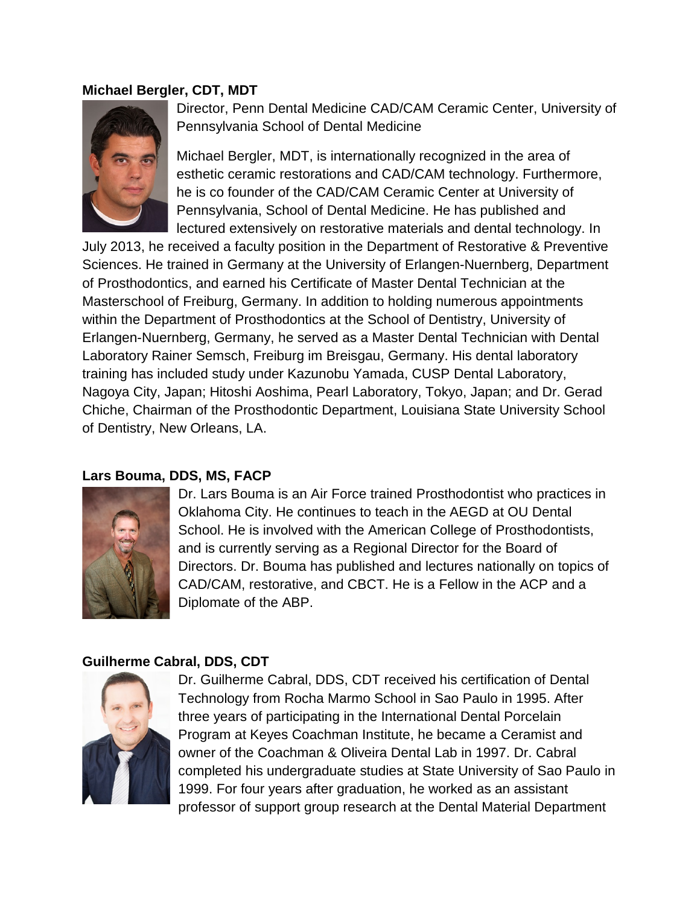#### **Michael Bergler, CDT, MDT**



Director, Penn Dental Medicine CAD/CAM Ceramic Center, University of Pennsylvania School of Dental Medicine

Michael Bergler, MDT, is internationally recognized in the area of esthetic ceramic restorations and CAD/CAM technology. Furthermore, he is co founder of the CAD/CAM Ceramic Center at University of Pennsylvania, School of Dental Medicine. He has published and lectured extensively on restorative materials and dental technology. In

July 2013, he received a faculty position in the Department of Restorative & Preventive Sciences. He trained in Germany at the University of Erlangen-Nuernberg, Department of Prosthodontics, and earned his Certificate of Master Dental Technician at the Masterschool of Freiburg, Germany. In addition to holding numerous appointments within the Department of Prosthodontics at the School of Dentistry, University of Erlangen-Nuernberg, Germany, he served as a Master Dental Technician with Dental Laboratory Rainer Semsch, Freiburg im Breisgau, Germany. His dental laboratory training has included study under Kazunobu Yamada, CUSP Dental Laboratory, Nagoya City, Japan; Hitoshi Aoshima, Pearl Laboratory, Tokyo, Japan; and Dr. Gerad Chiche, Chairman of the Prosthodontic Department, Louisiana State University School of Dentistry, New Orleans, LA.

#### **Lars Bouma, DDS, MS, FACP**



Dr. Lars Bouma is an Air Force trained Prosthodontist who practices in Oklahoma City. He continues to teach in the AEGD at OU Dental School. He is involved with the American College of Prosthodontists, and is currently serving as a Regional Director for the Board of Directors. Dr. Bouma has published and lectures nationally on topics of CAD/CAM, restorative, and CBCT. He is a Fellow in the ACP and a Diplomate of the ABP.

#### **Guilherme Cabral, DDS, CDT**



Dr. Guilherme Cabral, DDS, CDT received his certification of Dental Technology from Rocha Marmo School in Sao Paulo in 1995. After three years of participating in the International Dental Porcelain Program at Keyes Coachman Institute, he became a Ceramist and owner of the Coachman & Oliveira Dental Lab in 1997. Dr. Cabral completed his undergraduate studies at State University of Sao Paulo in 1999. For four years after graduation, he worked as an assistant professor of support group research at the Dental Material Department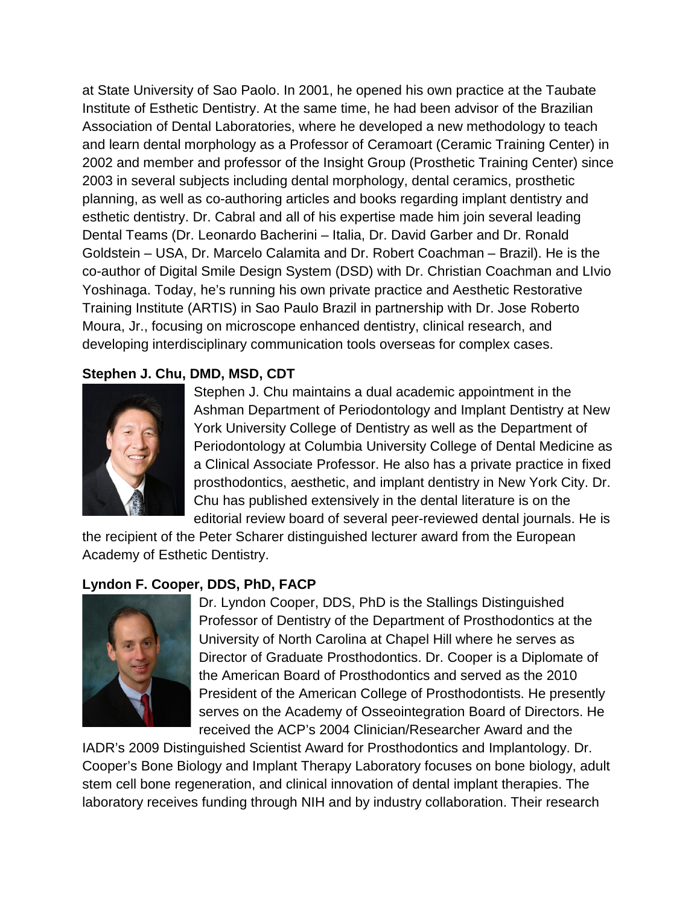at State University of Sao Paolo. In 2001, he opened his own practice at the Taubate Institute of Esthetic Dentistry. At the same time, he had been advisor of the Brazilian Association of Dental Laboratories, where he developed a new methodology to teach and learn dental morphology as a Professor of Ceramoart (Ceramic Training Center) in 2002 and member and professor of the Insight Group (Prosthetic Training Center) since 2003 in several subjects including dental morphology, dental ceramics, prosthetic planning, as well as co-authoring articles and books regarding implant dentistry and esthetic dentistry. Dr. Cabral and all of his expertise made him join several leading Dental Teams (Dr. Leonardo Bacherini – Italia, Dr. David Garber and Dr. Ronald Goldstein – USA, Dr. Marcelo Calamita and Dr. Robert Coachman – Brazil). He is the co-author of Digital Smile Design System (DSD) with Dr. Christian Coachman and LIvio Yoshinaga. Today, he's running his own private practice and Aesthetic Restorative Training Institute (ARTIS) in Sao Paulo Brazil in partnership with Dr. Jose Roberto Moura, Jr., focusing on microscope enhanced dentistry, clinical research, and developing interdisciplinary communication tools overseas for complex cases.

## **Stephen J. Chu, DMD, MSD, CDT**



Stephen J. Chu maintains a dual academic appointment in the Ashman Department of Periodontology and Implant Dentistry at New York University College of Dentistry as well as the Department of Periodontology at Columbia University College of Dental Medicine as a Clinical Associate Professor. He also has a private practice in fixed prosthodontics, aesthetic, and implant dentistry in New York City. Dr. Chu has published extensively in the dental literature is on the editorial review board of several peer-reviewed dental journals. He is

the recipient of the Peter Scharer distinguished lecturer award from the European Academy of Esthetic Dentistry.

## **Lyndon F. Cooper, DDS, PhD, FACP**



Dr. Lyndon Cooper, DDS, PhD is the Stallings Distinguished Professor of Dentistry of the Department of Prosthodontics at the University of North Carolina at Chapel Hill where he serves as Director of Graduate Prosthodontics. Dr. Cooper is a Diplomate of the American Board of Prosthodontics and served as the 2010 President of the American College of Prosthodontists. He presently serves on the Academy of Osseointegration Board of Directors. He received the ACP's 2004 Clinician/Researcher Award and the

IADR's 2009 Distinguished Scientist Award for Prosthodontics and Implantology. Dr. Cooper's Bone Biology and Implant Therapy Laboratory focuses on bone biology, adult stem cell bone regeneration, and clinical innovation of dental implant therapies. The laboratory receives funding through NIH and by industry collaboration. Their research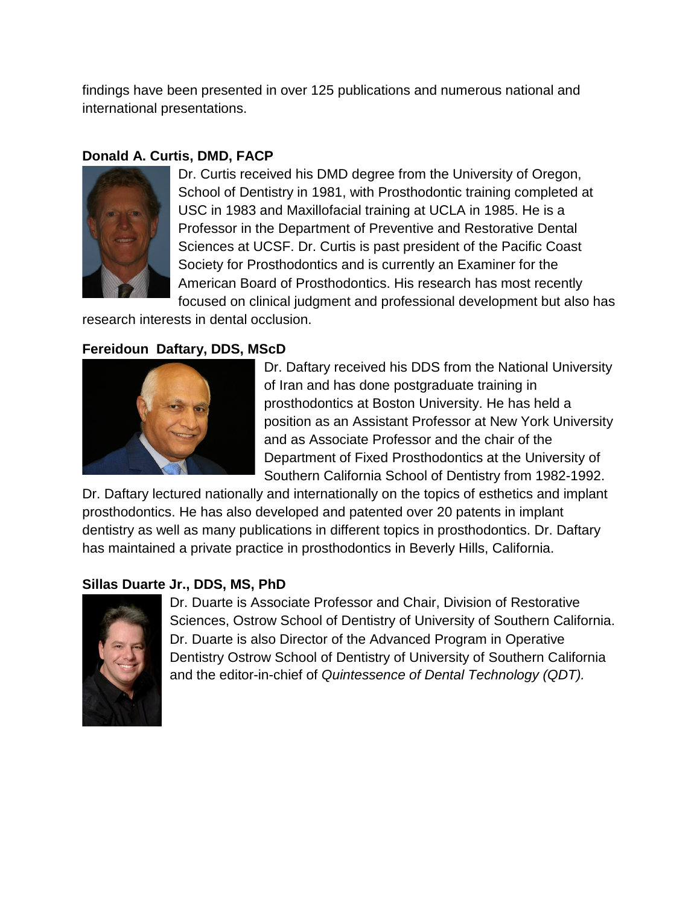findings have been presented in over 125 publications and numerous national and international presentations.

# **Donald A. Curtis, DMD, FACP**



Dr. Curtis received his DMD degree from the University of Oregon, School of Dentistry in 1981, with Prosthodontic training completed at USC in 1983 and Maxillofacial training at UCLA in 1985. He is a Professor in the Department of Preventive and Restorative Dental Sciences at UCSF. Dr. Curtis is past president of the Pacific Coast Society for Prosthodontics and is currently an Examiner for the American Board of Prosthodontics. His research has most recently focused on clinical judgment and professional development but also has

research interests in dental occlusion.

# **Fereidoun Daftary, DDS, MScD**



Dr. Daftary received his DDS from the National University of Iran and has done postgraduate training in prosthodontics at Boston University. He has held a position as an Assistant Professor at New York University and as Associate Professor and the chair of the Department of Fixed Prosthodontics at the University of Southern California School of Dentistry from 1982-1992.

Dr. Daftary lectured nationally and internationally on the topics of esthetics and implant prosthodontics. He has also developed and patented over 20 patents in implant dentistry as well as many publications in different topics in prosthodontics. Dr. Daftary has maintained a private practice in prosthodontics in Beverly Hills, California.

# **Sillas Duarte Jr., DDS, MS, PhD**



Dr. Duarte is Associate Professor and Chair, Division of Restorative Sciences, Ostrow School of Dentistry of University of Southern California. Dr. Duarte is also Director of the Advanced Program in Operative Dentistry Ostrow School of Dentistry of University of Southern California and the editor-in-chief of *Quintessence of Dental Technology (QDT).*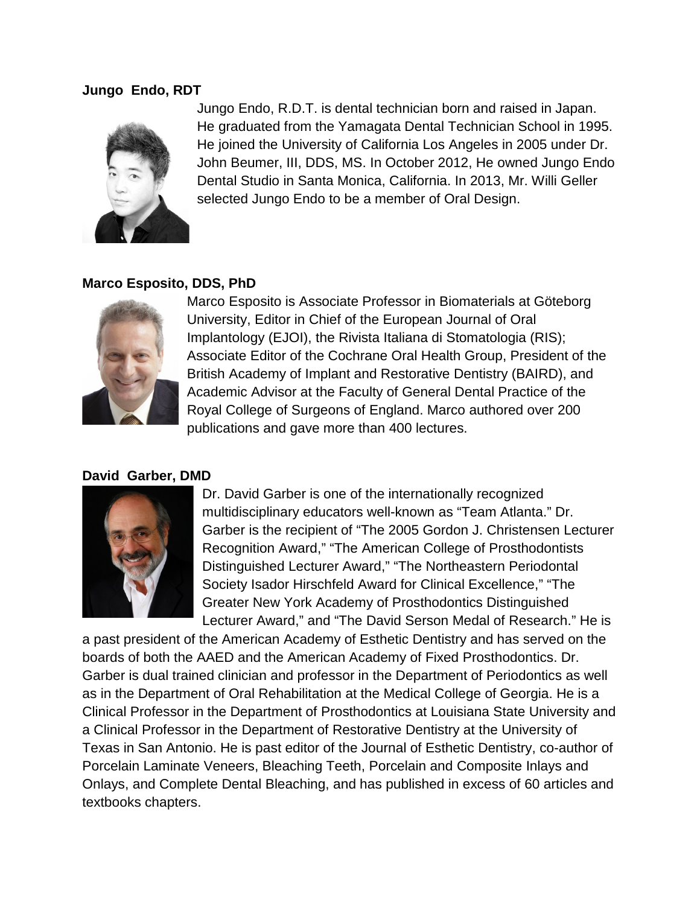#### **Jungo Endo, RDT**



Jungo Endo, R.D.T. is dental technician born and raised in Japan. He graduated from the Yamagata Dental Technician School in 1995. He joined the University of California Los Angeles in 2005 under Dr. John Beumer, III, DDS, MS. In October 2012, He owned Jungo Endo Dental Studio in Santa Monica, California. In 2013, Mr. Willi Geller selected Jungo Endo to be a member of Oral Design.

#### **Marco Esposito, DDS, PhD**



Marco Esposito is Associate Professor in Biomaterials at Göteborg University, Editor in Chief of the European Journal of Oral Implantology (EJOI), the Rivista Italiana di Stomatologia (RIS); Associate Editor of the Cochrane Oral Health Group, President of the British Academy of Implant and Restorative Dentistry (BAIRD), and Academic Advisor at the Faculty of General Dental Practice of the Royal College of Surgeons of England. Marco authored over 200 publications and gave more than 400 lectures.

#### **David Garber, DMD**



Dr. David Garber is one of the internationally recognized multidisciplinary educators well-known as "Team Atlanta." Dr. Garber is the recipient of "The 2005 Gordon J. Christensen Lecturer Recognition Award," "The American College of Prosthodontists Distinguished Lecturer Award," "The Northeastern Periodontal Society Isador Hirschfeld Award for Clinical Excellence," "The Greater New York Academy of Prosthodontics Distinguished Lecturer Award," and "The David Serson Medal of Research." He is

a past president of the American Academy of Esthetic Dentistry and has served on the boards of both the AAED and the American Academy of Fixed Prosthodontics. Dr. Garber is dual trained clinician and professor in the Department of Periodontics as well as in the Department of Oral Rehabilitation at the Medical College of Georgia. He is a Clinical Professor in the Department of Prosthodontics at Louisiana State University and a Clinical Professor in the Department of Restorative Dentistry at the University of Texas in San Antonio. He is past editor of the Journal of Esthetic Dentistry, co-author of Porcelain Laminate Veneers, Bleaching Teeth, Porcelain and Composite Inlays and Onlays, and Complete Dental Bleaching, and has published in excess of 60 articles and textbooks chapters.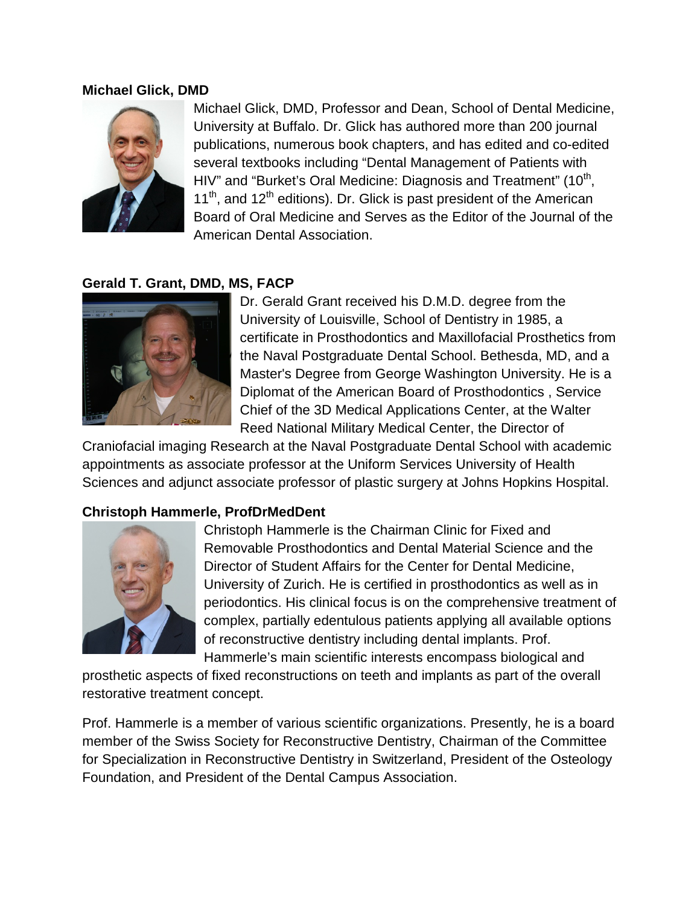#### **Michael Glick, DMD**



Michael Glick, DMD, Professor and Dean, School of Dental Medicine, University at Buffalo. Dr. Glick has authored more than 200 journal publications, numerous book chapters, and has edited and co-edited several textbooks including "Dental Management of Patients with HIV" and "Burket's Oral Medicine: Diagnosis and Treatment" (10<sup>th</sup>,  $11<sup>th</sup>$ , and  $12<sup>th</sup>$  editions). Dr. Glick is past president of the American Board of Oral Medicine and Serves as the Editor of the Journal of the American Dental Association.

### **Gerald T. Grant, DMD, MS, FACP**



Dr. Gerald Grant received his D.M.D. degree from the University of Louisville, School of Dentistry in 1985, a certificate in Prosthodontics and Maxillofacial Prosthetics from the Naval Postgraduate Dental School. Bethesda, MD, and a Master's Degree from George Washington University. He is a Diplomat of the American Board of Prosthodontics , Service Chief of the 3D Medical Applications Center, at the Walter Reed National Military Medical Center, the Director of

Craniofacial imaging Research at the Naval Postgraduate Dental School with academic appointments as associate professor at the Uniform Services University of Health Sciences and adjunct associate professor of plastic surgery at Johns Hopkins Hospital.

#### **Christoph Hammerle, ProfDrMedDent**



Christoph Hammerle is the Chairman Clinic for Fixed and Removable Prosthodontics and Dental Material Science and the Director of Student Affairs for the Center for Dental Medicine, University of Zurich. He is certified in prosthodontics as well as in periodontics. His clinical focus is on the comprehensive treatment of complex, partially edentulous patients applying all available options of reconstructive dentistry including dental implants. Prof. Hammerle's main scientific interests encompass biological and

prosthetic aspects of fixed reconstructions on teeth and implants as part of the overall restorative treatment concept.

Prof. Hammerle is a member of various scientific organizations. Presently, he is a board member of the Swiss Society for Reconstructive Dentistry, Chairman of the Committee for Specialization in Reconstructive Dentistry in Switzerland, President of the Osteology Foundation, and President of the Dental Campus Association.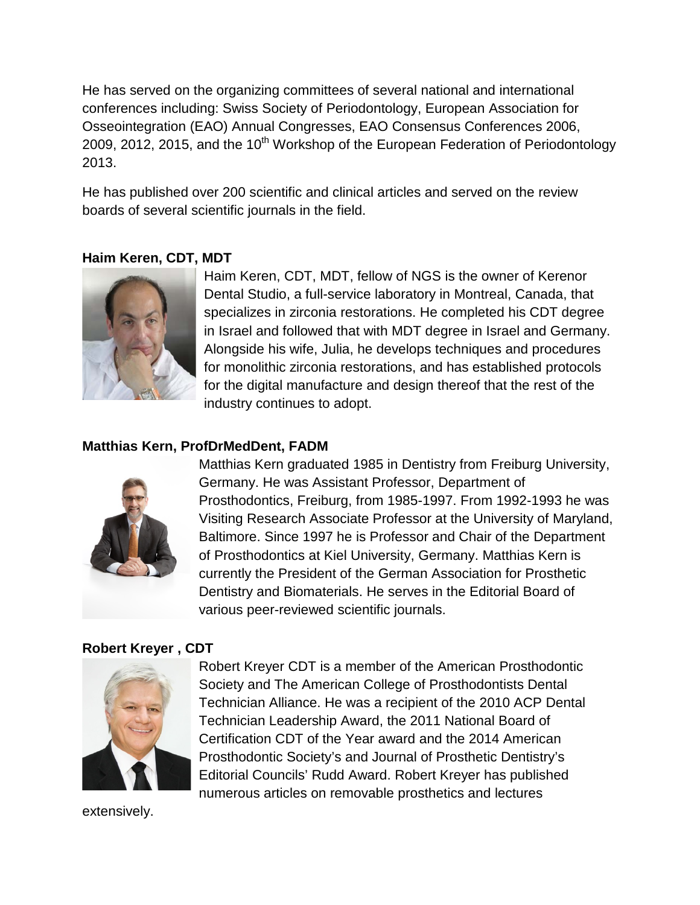He has served on the organizing committees of several national and international conferences including: Swiss Society of Periodontology, European Association for Osseointegration (EAO) Annual Congresses, EAO Consensus Conferences 2006, 2009, 2012, 2015, and the  $10<sup>th</sup>$  Workshop of the European Federation of Periodontology 2013.

He has published over 200 scientific and clinical articles and served on the review boards of several scientific journals in the field.

### **Haim Keren, CDT, MDT**



Haim Keren, CDT, MDT, fellow of NGS is the owner of Kerenor Dental Studio, a full-service laboratory in Montreal, Canada, that specializes in zirconia restorations. He completed his CDT degree in Israel and followed that with MDT degree in Israel and Germany. Alongside his wife, Julia, he develops techniques and procedures for monolithic zirconia restorations, and has established protocols for the digital manufacture and design thereof that the rest of the industry continues to adopt.

#### **Matthias Kern, ProfDrMedDent, FADM**



Matthias Kern graduated 1985 in Dentistry from Freiburg University, Germany. He was Assistant Professor, Department of Prosthodontics, Freiburg, from 1985-1997. From 1992-1993 he was Visiting Research Associate Professor at the University of Maryland, Baltimore. Since 1997 he is Professor and Chair of the Department of Prosthodontics at Kiel University, Germany. Matthias Kern is currently the President of the German Association for Prosthetic Dentistry and Biomaterials. He serves in the Editorial Board of various peer-reviewed scientific journals.

## **Robert Kreyer , CDT**



Robert Kreyer CDT is a member of the American Prosthodontic Society and The American College of Prosthodontists Dental Technician Alliance. He was a recipient of the 2010 ACP Dental Technician Leadership Award, the 2011 National Board of Certification CDT of the Year award and the 2014 American Prosthodontic Society's and Journal of Prosthetic Dentistry's Editorial Councils' Rudd Award. Robert Kreyer has published numerous articles on removable prosthetics and lectures

extensively.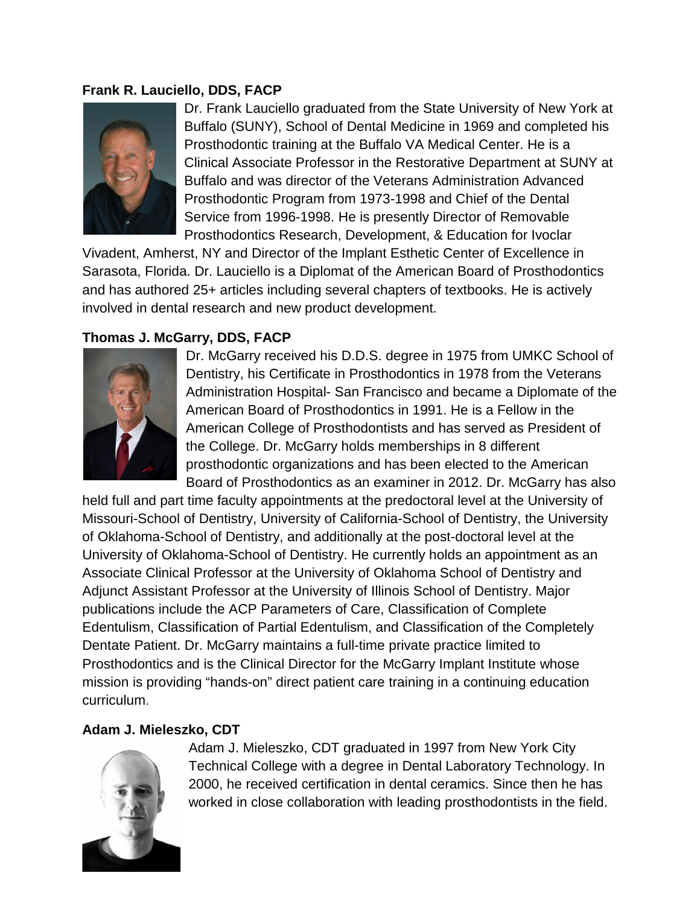## **Frank R. Lauciello, DDS, FACP**



Dr. Frank Lauciello graduated from the State University of New York at Buffalo (SUNY), School of Dental Medicine in 1969 and completed his Prosthodontic training at the Buffalo VA Medical Center. He is a Clinical Associate Professor in the Restorative Department at SUNY at Buffalo and was director of the Veterans Administration Advanced Prosthodontic Program from 1973-1998 and Chief of the Dental Service from 1996-1998. He is presently Director of Removable Prosthodontics Research, Development, & Education for Ivoclar

Vivadent, Amherst, NY and Director of the Implant Esthetic Center of Excellence in Sarasota, Florida. Dr. Lauciello is a Diplomat of the American Board of Prosthodontics and has authored 25+ articles including several chapters of textbooks. He is actively involved in dental research and new product development.

## **Thomas J. McGarry, DDS, FACP**



Dr. McGarry received his D.D.S. degree in 1975 from UMKC School of Dentistry, his Certificate in Prosthodontics in 1978 from the Veterans Administration Hospital- San Francisco and became a Diplomate of the American Board of Prosthodontics in 1991. He is a Fellow in the American College of Prosthodontists and has served as President of the College. Dr. McGarry holds memberships in 8 different prosthodontic organizations and has been elected to the American Board of Prosthodontics as an examiner in 2012. Dr. McGarry has also

held full and part time faculty appointments at the predoctoral level at the University of Missouri-School of Dentistry, University of California-School of Dentistry, the University of Oklahoma-School of Dentistry, and additionally at the post-doctoral level at the University of Oklahoma-School of Dentistry. He currently holds an appointment as an Associate Clinical Professor at the University of Oklahoma School of Dentistry and Adjunct Assistant Professor at the University of Illinois School of Dentistry. Major publications include the ACP Parameters of Care, Classification of Complete Edentulism, Classification of Partial Edentulism, and Classification of the Completely Dentate Patient. Dr. McGarry maintains a full-time private practice limited to Prosthodontics and is the Clinical Director for the McGarry Implant Institute whose mission is providing "hands-on" direct patient care training in a continuing education curriculum.

#### **Adam J. Mieleszko, CDT**



Adam J. Mieleszko, CDT graduated in 1997 from New York City Technical College with a degree in Dental Laboratory Technology. In 2000, he received certification in dental ceramics. Since then he has worked in close collaboration with leading prosthodontists in the field.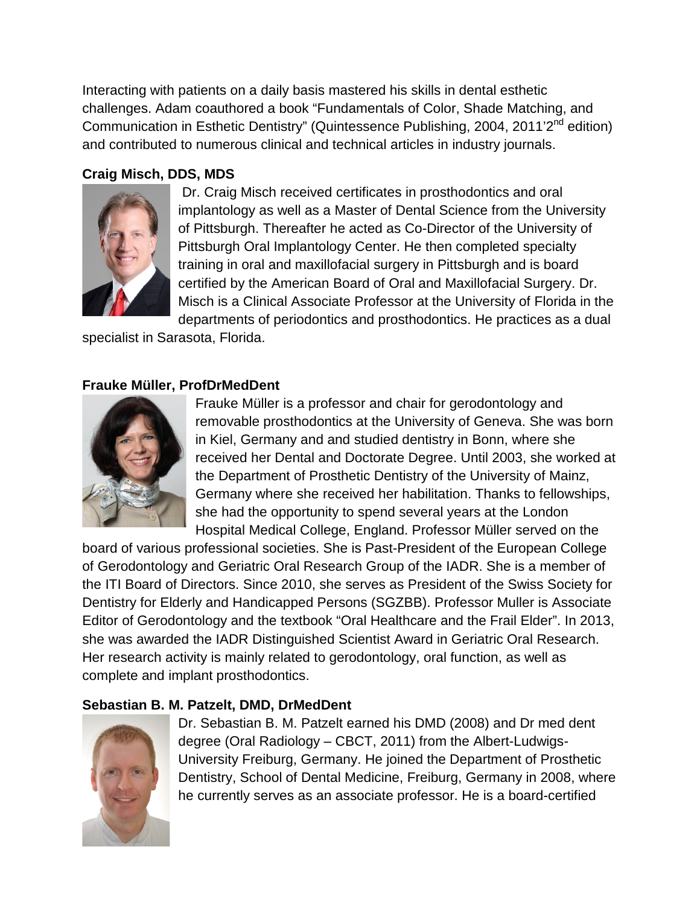Interacting with patients on a daily basis mastered his skills in dental esthetic challenges. Adam coauthored a book "Fundamentals of Color, Shade Matching, and Communication in Esthetic Dentistry" (Quintessence Publishing, 2004, 2011'2<sup>nd</sup> edition) and contributed to numerous clinical and technical articles in industry journals.

# **Craig Misch, DDS, MDS**



Dr. Craig Misch received certificates in prosthodontics and oral implantology as well as a Master of Dental Science from the University of Pittsburgh. Thereafter he acted as Co-Director of the University of Pittsburgh Oral Implantology Center. He then completed specialty training in oral and maxillofacial surgery in Pittsburgh and is board certified by the American Board of Oral and Maxillofacial Surgery. Dr. Misch is a Clinical Associate Professor at the University of Florida in the departments of periodontics and prosthodontics. He practices as a dual

specialist in Sarasota, Florida.

# **Frauke Müller, ProfDrMedDent**



Frauke Müller is a professor and chair for gerodontology and removable prosthodontics at the University of Geneva. She was born in Kiel, Germany and and studied dentistry in Bonn, where she received her Dental and Doctorate Degree. Until 2003, she worked at the Department of Prosthetic Dentistry of the University of Mainz, Germany where she received her habilitation. Thanks to fellowships, she had the opportunity to spend several years at the London Hospital Medical College, England. Professor Müller served on the

board of various professional societies. She is Past-President of the European College of Gerodontology and Geriatric Oral Research Group of the IADR. She is a member of the ITI Board of Directors. Since 2010, she serves as President of the Swiss Society for Dentistry for Elderly and Handicapped Persons (SGZBB). Professor Muller is Associate Editor of Gerodontology and the textbook "Oral Healthcare and the Frail Elder". In 2013, she was awarded the IADR Distinguished Scientist Award in Geriatric Oral Research. Her research activity is mainly related to gerodontology, oral function, as well as complete and implant prosthodontics.

## **Sebastian B. M. Patzelt, DMD, DrMedDent**



Dr. Sebastian B. M. Patzelt earned his DMD (2008) and Dr med dent degree (Oral Radiology – CBCT, 2011) from the Albert-Ludwigs-University Freiburg, Germany. He joined the Department of Prosthetic Dentistry, School of Dental Medicine, Freiburg, Germany in 2008, where he currently serves as an associate professor. He is a board-certified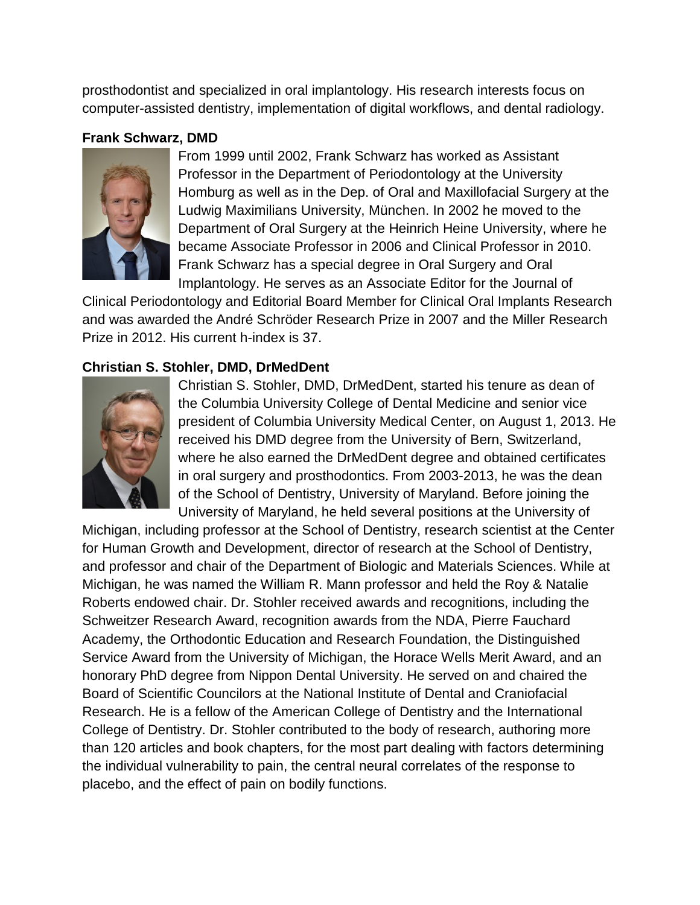prosthodontist and specialized in oral implantology. His research interests focus on computer-assisted dentistry, implementation of digital workflows, and dental radiology.

# **Frank Schwarz, DMD**



From 1999 until 2002, Frank Schwarz has worked as Assistant Professor in the Department of Periodontology at the University Homburg as well as in the Dep. of Oral and Maxillofacial Surgery at the Ludwig Maximilians University, München. In 2002 he moved to the Department of Oral Surgery at the Heinrich Heine University, where he became Associate Professor in 2006 and Clinical Professor in 2010. Frank Schwarz has a special degree in Oral Surgery and Oral Implantology. He serves as an Associate Editor for the Journal of

Clinical Periodontology and Editorial Board Member for Clinical Oral Implants Research and was awarded the André Schröder Research Prize in 2007 and the Miller Research Prize in 2012. His current h-index is 37.

## **Christian S. Stohler, DMD, DrMedDent**



Christian S. Stohler, DMD, DrMedDent, started his tenure as dean of the Columbia University College of Dental Medicine and senior vice president of Columbia University Medical Center, on August 1, 2013. He received his DMD degree from the University of Bern, Switzerland, where he also earned the DrMedDent degree and obtained certificates in oral surgery and prosthodontics. From 2003-2013, he was the dean of the School of Dentistry, University of Maryland. Before joining the University of Maryland, he held several positions at the University of

Michigan, including professor at the School of Dentistry, research scientist at the Center for Human Growth and Development, director of research at the School of Dentistry, and professor and chair of the Department of Biologic and Materials Sciences. While at Michigan, he was named the William R. Mann professor and held the Roy & Natalie Roberts endowed chair. Dr. Stohler received awards and recognitions, including the Schweitzer Research Award, recognition awards from the NDA, Pierre Fauchard Academy, the Orthodontic Education and Research Foundation, the Distinguished Service Award from the University of Michigan, the Horace Wells Merit Award, and an honorary PhD degree from Nippon Dental University. He served on and chaired the Board of Scientific Councilors at the National Institute of Dental and Craniofacial Research. He is a fellow of the American College of Dentistry and the International College of Dentistry. Dr. Stohler contributed to the body of research, authoring more than 120 articles and book chapters, for the most part dealing with factors determining the individual vulnerability to pain, the central neural correlates of the response to placebo, and the effect of pain on bodily functions.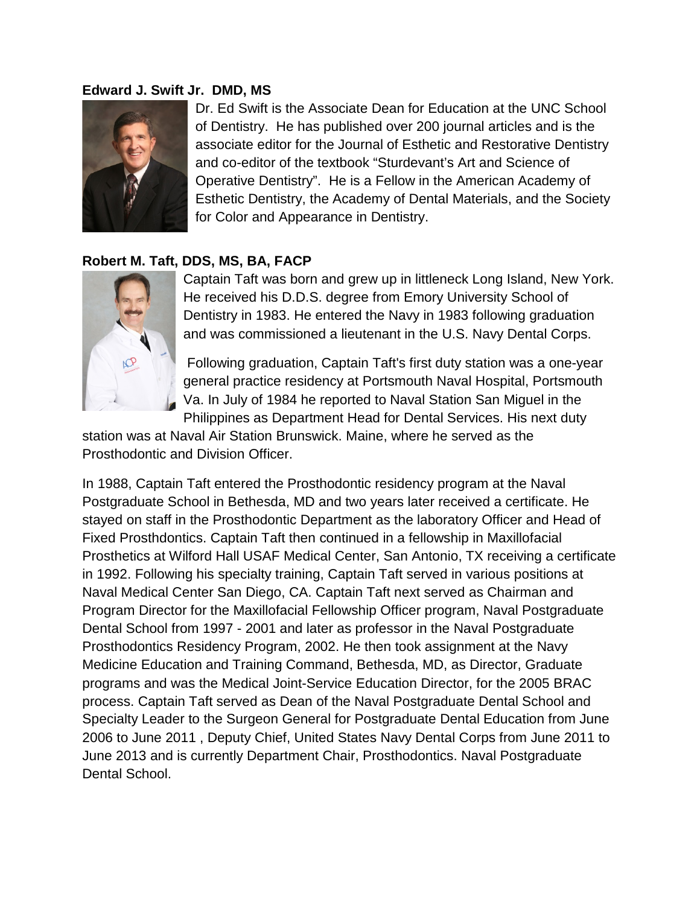#### **Edward J. Swift Jr. DMD, MS**



Dr. Ed Swift is the Associate Dean for Education at the UNC School of Dentistry. He has published over 200 journal articles and is the associate editor for the Journal of Esthetic and Restorative Dentistry and co-editor of the textbook "Sturdevant's Art and Science of Operative Dentistry". He is a Fellow in the American Academy of Esthetic Dentistry, the Academy of Dental Materials, and the Society for Color and Appearance in Dentistry.

### **Robert M. Taft, DDS, MS, BA, FACP**



Captain Taft was born and grew up in littleneck Long Island, New York. He received his D.D.S. degree from Emory University School of Dentistry in 1983. He entered the Navy in 1983 following graduation and was commissioned a lieutenant in the U.S. Navy Dental Corps.

Following graduation, Captain Taft's first duty station was a one-year general practice residency at Portsmouth Naval Hospital, Portsmouth Va. In July of 1984 he reported to Naval Station San Miguel in the Philippines as Department Head for Dental Services. His next duty

station was at Naval Air Station Brunswick. Maine, where he served as the Prosthodontic and Division Officer.

In 1988, Captain Taft entered the Prosthodontic residency program at the Naval Postgraduate School in Bethesda, MD and two years later received a certificate. He stayed on staff in the Prosthodontic Department as the laboratory Officer and Head of Fixed Prosthdontics. Captain Taft then continued in a fellowship in Maxillofacial Prosthetics at Wilford Hall USAF Medical Center, San Antonio, TX receiving a certificate in 1992. Following his specialty training, Captain Taft served in various positions at Naval Medical Center San Diego, CA. Captain Taft next served as Chairman and Program Director for the Maxillofacial Fellowship Officer program, Naval Postgraduate Dental School from 1997 - 2001 and later as professor in the Naval Postgraduate Prosthodontics Residency Program, 2002. He then took assignment at the Navy Medicine Education and Training Command, Bethesda, MD, as Director, Graduate programs and was the Medical Joint-Service Education Director, for the 2005 BRAC process. Captain Taft served as Dean of the Naval Postgraduate Dental School and Specialty Leader to the Surgeon General for Postgraduate Dental Education from June 2006 to June 2011 , Deputy Chief, United States Navy Dental Corps from June 2011 to June 2013 and is currently Department Chair, Prosthodontics. Naval Postgraduate Dental School.